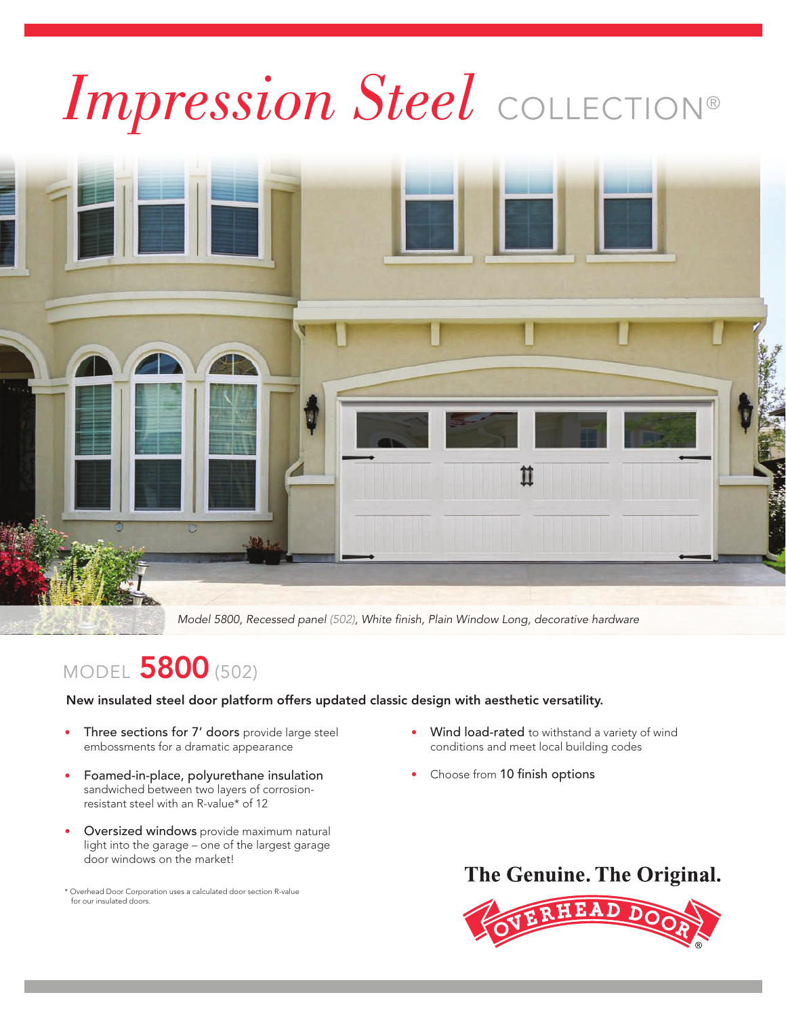

Model 5800, Recessed panel (502), White finish, Plain Window Long, decorative hardware

# **MODEL 5800 (502)**

New insulated steel door platform offers updated classic design with aesthetic versatility.

- Three sections for 7' doors provide large steel embossments for a dramatic appearance
- Foamed-in-place, polyurethane insulation sandwiched between two layers of corrosion resistant steel with an R-value\* of 12
- Oversized windows provide maximum natural light into the garage – one of the largest garage door windows on the market!

\* Overhead Door Corporation uses a calculated door section R-value for our insulated doors.

- Wind load-rated to withstand a variety of wind conditions and meet local building codes
- Choose from 10 finish options



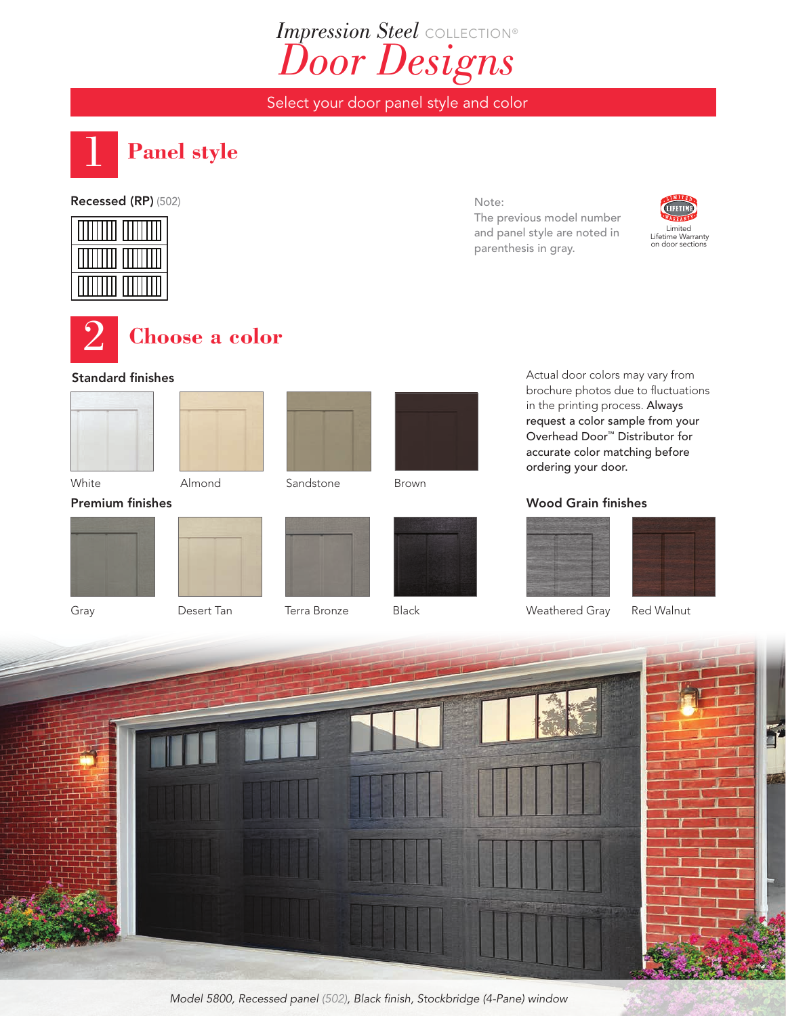# *Impression Steel* COLLECTION® *Door Designs*

Select your door panel style and color



## Recessed (RP) (502)



## **Choose a color**

#### Standard finishes









Brown

Actual door colors may vary from brochure photos due to fluctuations in the printing process. Always request a color sample from your Overhead Door™ Distributor for accurate color matching before ordering your door.

Wood Grain finishes

#### White **Almond** Sandstone

Premium finishes











Weathered Gray Red Walnut



Model 5800, Recessed panel (502), Black finish, Stockbridge (4-Pane) window

Note:

The previous model number and panel style are noted in parenthesis in gray.

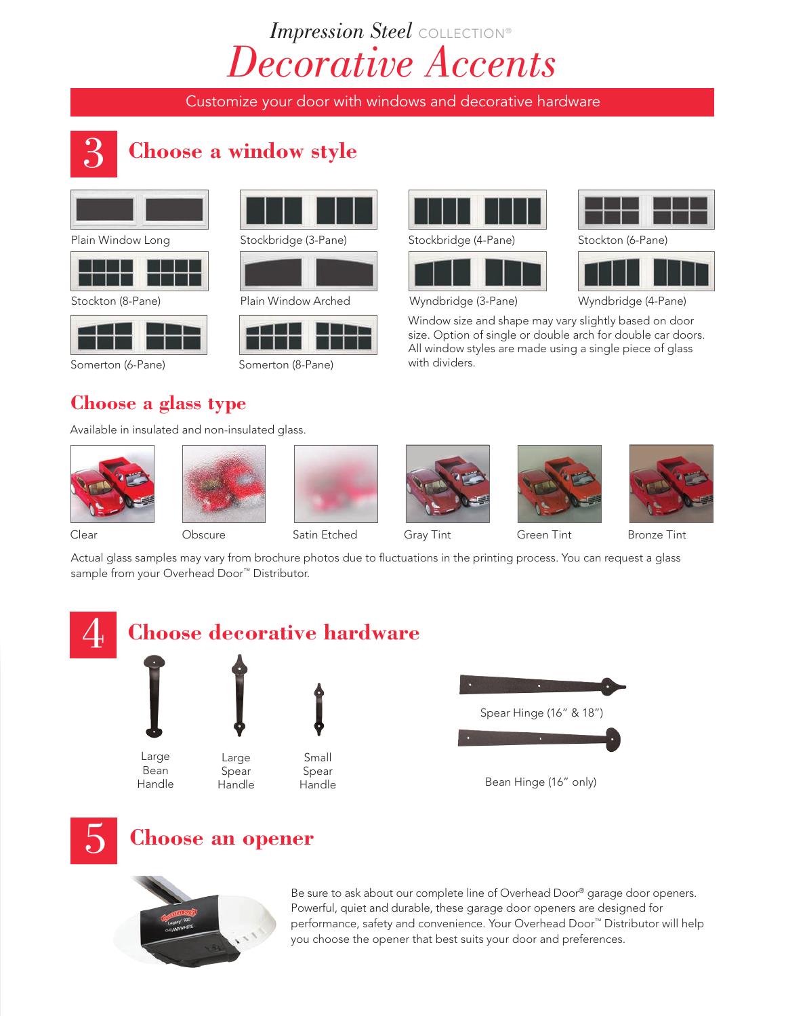# *Impression Steel* COLLECTION® *Decorative Accents*

Customize your door with windows and decorative hardware

## 3 **Choose a window style**





Stockton (8-Pane)





Somerton (6-Pane) Somerton (8-Pane)



Plain Window Long Stockbridge (3-Pane) Stockbridge (4-Pane)





Plain Window Arched Wyndbridge (3-Pane) Wyndbridge (4-Pane)

Window size and shape may vary slightly based on door size. Option of single or double arch for double car doors. All window styles are made using a single piece of glass with dividers.

## **Choose a glass type**

Available in insulated and non-insulated glass.













Clear Obscure Satin Etched Gray Tint Green Tint Bronze Tint

Actual glass samples may vary from brochure photos due to fluctuations in the printing process. You can request a glass sample from your Overhead Door™ Distributor.





## 5 **Choose an opener**



Be sure to ask about our complete line of Overhead Door® garage door openers. Powerful, quiet and durable, these garage door openers are designed for performance, safety and convenience. Your Overhead Door™ Distributor will help you choose the opener that best suits your door and preferences.